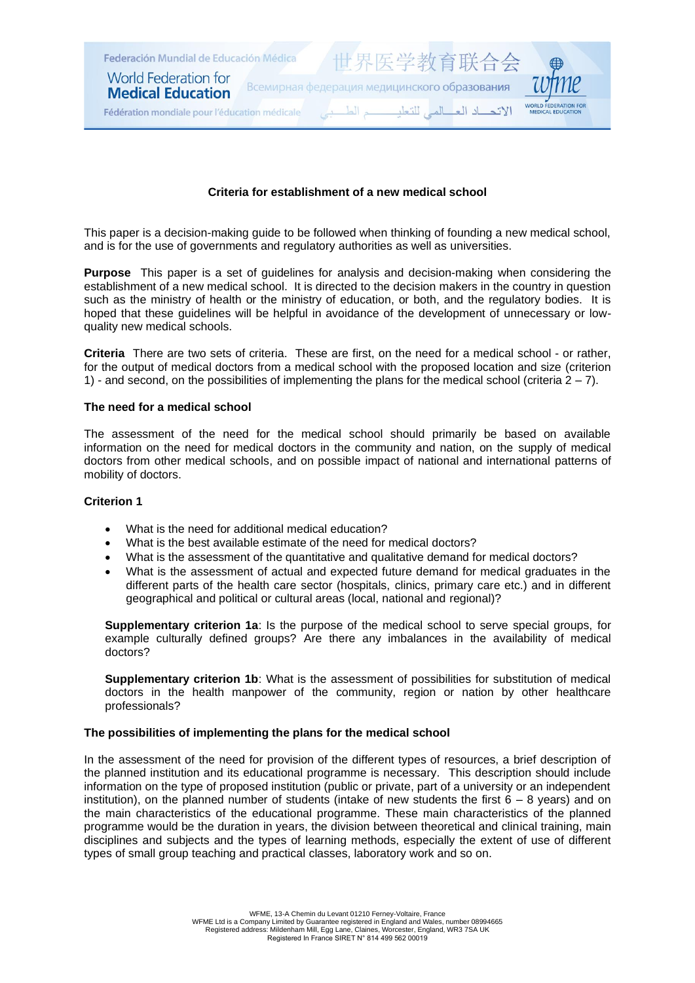

## **Criteria for establishment of a new medical school**

This paper is a decision-making guide to be followed when thinking of founding a new medical school, and is for the use of governments and regulatory authorities as well as universities.

**Purpose** This paper is a set of guidelines for analysis and decision-making when considering the establishment of a new medical school. It is directed to the decision makers in the country in question such as the ministry of health or the ministry of education, or both, and the regulatory bodies. It is hoped that these guidelines will be helpful in avoidance of the development of unnecessary or lowquality new medical schools.

**Criteria** There are two sets of criteria. These are first, on the need for a medical school - or rather, for the output of medical doctors from a medical school with the proposed location and size (criterion 1) - and second, on the possibilities of implementing the plans for the medical school (criteria  $2 - 7$ ).

#### **The need for a medical school**

The assessment of the need for the medical school should primarily be based on available information on the need for medical doctors in the community and nation, on the supply of medical doctors from other medical schools, and on possible impact of national and international patterns of mobility of doctors.

#### **Criterion 1**

- What is the need for additional medical education?
- What is the best available estimate of the need for medical doctors?
- What is the assessment of the quantitative and qualitative demand for medical doctors?
- What is the assessment of actual and expected future demand for medical graduates in the different parts of the health care sector (hospitals, clinics, primary care etc.) and in different geographical and political or cultural areas (local, national and regional)?

**Supplementary criterion 1a**: Is the purpose of the medical school to serve special groups, for example culturally defined groups? Are there any imbalances in the availability of medical doctors?

**Supplementary criterion 1b**: What is the assessment of possibilities for substitution of medical doctors in the health manpower of the community, region or nation by other healthcare professionals?

#### **The possibilities of implementing the plans for the medical school**

In the assessment of the need for provision of the different types of resources, a brief description of the planned institution and its educational programme is necessary. This description should include information on the type of proposed institution (public or private, part of a university or an independent institution), on the planned number of students (intake of new students the first  $6 - 8$  years) and on the main characteristics of the educational programme. These main characteristics of the planned programme would be the duration in years, the division between theoretical and clinical training, main disciplines and subjects and the types of learning methods, especially the extent of use of different types of small group teaching and practical classes, laboratory work and so on.